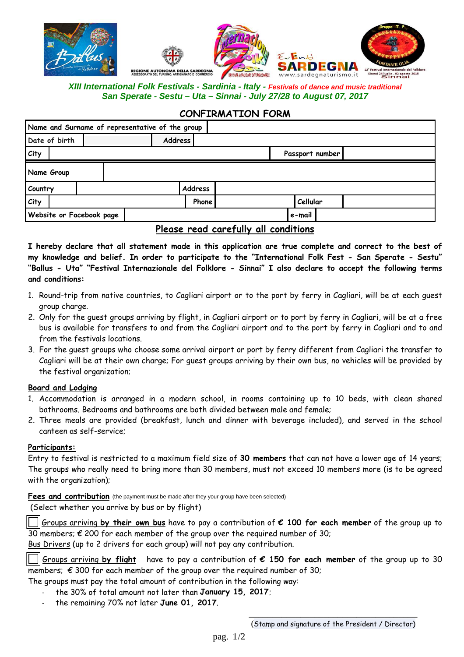

## **XIII International Folk Festivals - Sardinia - Italy - Festivals of dance and music traditional San Sperate - Sestu – Uta – Sinnai - July 27/28 to August 07, 2017**

### **CONFIRMATION FORM**

| Name and Surname of representative of the group |  |  |         |     |               |  |        |  |                 |  |
|-------------------------------------------------|--|--|---------|-----|---------------|--|--------|--|-----------------|--|
| Date of birth                                   |  |  | Address |     |               |  |        |  |                 |  |
| City                                            |  |  |         |     |               |  |        |  | Passport number |  |
| Name Group                                      |  |  |         |     |               |  |        |  |                 |  |
| Country                                         |  |  |         |     | Address       |  |        |  |                 |  |
| City                                            |  |  |         |     | Phone         |  |        |  | Cellular        |  |
| Website or Facebook page                        |  |  |         |     |               |  | e-mail |  |                 |  |
|                                                 |  |  |         | - - | $\sim$ $\sim$ |  |        |  |                 |  |

**Please read carefully all conditions**

**I hereby declare that all statement made in this application are true complete and correct to the best of my knowledge and belief. In order to participate to the "International Folk Fest - San Sperate - Sestu" "Ballus - Uta" "Festival Internazionale del Folklore - Sinnai" I also declare to accept the following terms and conditions:** 

- 1. Round-trip from native countries, to Cagliari airport or to the port by ferry in Cagliari, will be at each guest group charge.
- 2. Only for the guest groups arriving by flight, in Cagliari airport or to port by ferry in Cagliari, will be at a free bus is available for transfers to and from the Cagliari airport and to the port by ferry in Cagliari and to and from the festivals locations.
- 3. For the guest groups who choose some arrival airport or port by ferry different from Cagliari the transfer to Cagliari will be at their own charge; For guest groups arriving by their own bus, no vehicles will be provided by the festival organization;

#### **Board and Lodging**

- 1. Accommodation is arranged in a modern school, in rooms containing up to 10 beds, with clean shared bathrooms. Bedrooms and bathrooms are both divided between male and female;
- 2. Three meals are provided (breakfast, lunch and dinner with beverage included), and served in the school canteen as self-service;

### **Participants:**

Entry to festival is restricted to a maximum field size of **30 members** that can not have a lower age of 14 years; The groups who really need to bring more than 30 members, must not exceed 10 members more (is to be agreed with the organization);

**Fees and contribution** (the payment must be made after they your group have been selected)

(Select whether you arrive by bus or by flight)

 Groups arriving **by their own bus** have to pay a contribution of **€ 100 for each member** of the group up to 30 members;  $\epsilon$  200 for each member of the group over the required number of 30;

Bus Drivers (up to 2 drivers for each group) will not pay any contribution.

 Groups arriving **by flight** have to pay a contribution of **€ 150 for each member** of the group up to 30 members;  $\epsilon$  300 for each member of the group over the required number of 30;

The groups must pay the total amount of contribution in the following way:

- the 30% of total amount not later than **January 15, 2017**;
- the remaining 70% not later **June 01, 2017**.

 $\overline{\phantom{a}}$  , and the contract of the contract of the contract of the contract of the contract of the contract of the contract of the contract of the contract of the contract of the contract of the contract of the contrac